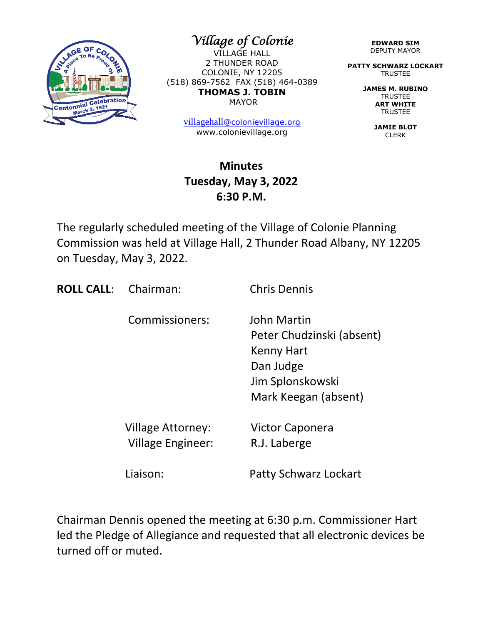

*Village of Colonie* 

VILLAGE HALL 2 THUNDER ROAD COLONIE, NY 12205 (518) 869-7562 FAX (518) 464-0389 **THOMAS J. TOBIN** MAYOR

> [villagehall](mailto:villagehall@colonievillage.org)[@colonievillage.org](mailto:villagehall@colonievillage.org) www.colonievillage.org

#### **Minutes Tuesday, May 3, 2022 6:30 P.M.**

The regularly scheduled meeting of the Village of Colonie Planning Commission was held at Village Hall, 2 Thunder Road Albany, NY 12205 on Tuesday, May 3, 2022.

**ROLL CALL:** Chairman: Chris Dennis

Commissioners: John Martin

 Peter Chudzinski (absent) Kenny Hart Dan Judge Jim Splonskowski Mark Keegan (absent)

 Village Attorney: Victor Caponera Village Engineer: R.J. Laberge

Liaison: Patty Schwarz Lockart

Chairman Dennis opened the meeting at 6:30 p.m. Commissioner Hart led the Pledge of Allegiance and requested that all electronic devices be turned off or muted.

**EDWARD SIM** DEPUTY MAYOR

**PATTY SCHWARZ LOCKART** TRUSTEE

> **JAMES M. RUBINO** TRUSTEE **ART WHITE TRUSTEE**

> > **JAMIE BLOT** CLERK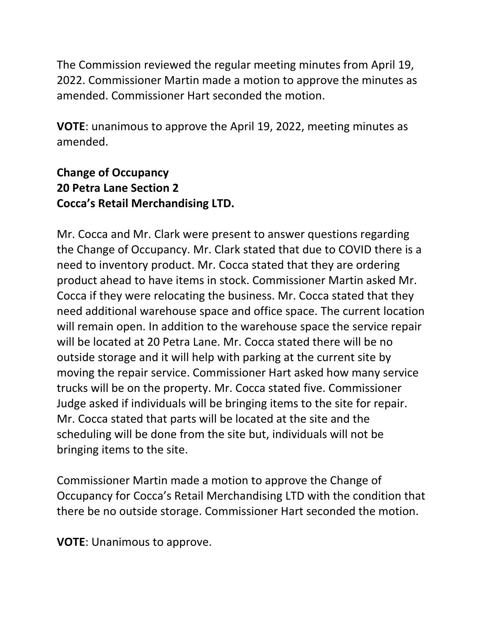The Commission reviewed the regular meeting minutes from April 19, 2022. Commissioner Martin made a motion to approve the minutes as amended. Commissioner Hart seconded the motion.

**VOTE**: unanimous to approve the April 19, 2022, meeting minutes as amended.

### **Change of Occupancy 20 Petra Lane Section 2 Cocca's Retail Merchandising LTD.**

Mr. Cocca and Mr. Clark were present to answer questions regarding the Change of Occupancy. Mr. Clark stated that due to COVID there is a need to inventory product. Mr. Cocca stated that they are ordering product ahead to have items in stock. Commissioner Martin asked Mr. Cocca if they were relocating the business. Mr. Cocca stated that they need additional warehouse space and office space. The current location will remain open. In addition to the warehouse space the service repair will be located at 20 Petra Lane. Mr. Cocca stated there will be no outside storage and it will help with parking at the current site by moving the repair service. Commissioner Hart asked how many service trucks will be on the property. Mr. Cocca stated five. Commissioner Judge asked if individuals will be bringing items to the site for repair. Mr. Cocca stated that parts will be located at the site and the scheduling will be done from the site but, individuals will not be bringing items to the site.

Commissioner Martin made a motion to approve the Change of Occupancy for Cocca's Retail Merchandising LTD with the condition that there be no outside storage. Commissioner Hart seconded the motion.

**VOTE**: Unanimous to approve.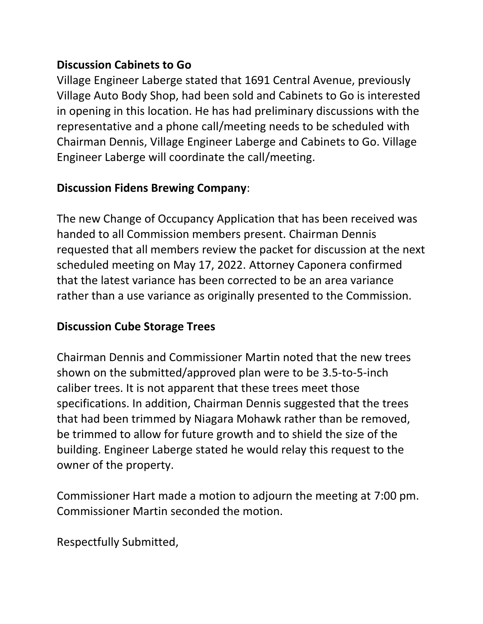#### **Discussion Cabinets to Go**

Village Engineer Laberge stated that 1691 Central Avenue, previously Village Auto Body Shop, had been sold and Cabinets to Go is interested in opening in this location. He has had preliminary discussions with the representative and a phone call/meeting needs to be scheduled with Chairman Dennis, Village Engineer Laberge and Cabinets to Go. Village Engineer Laberge will coordinate the call/meeting.

# **Discussion Fidens Brewing Company**:

The new Change of Occupancy Application that has been received was handed to all Commission members present. Chairman Dennis requested that all members review the packet for discussion at the next scheduled meeting on May 17, 2022. Attorney Caponera confirmed that the latest variance has been corrected to be an area variance rather than a use variance as originally presented to the Commission.

## **Discussion Cube Storage Trees**

Chairman Dennis and Commissioner Martin noted that the new trees shown on the submitted/approved plan were to be 3.5-to-5-inch caliber trees. It is not apparent that these trees meet those specifications. In addition, Chairman Dennis suggested that the trees that had been trimmed by Niagara Mohawk rather than be removed, be trimmed to allow for future growth and to shield the size of the building. Engineer Laberge stated he would relay this request to the owner of the property.

Commissioner Hart made a motion to adjourn the meeting at 7:00 pm. Commissioner Martin seconded the motion.

Respectfully Submitted,